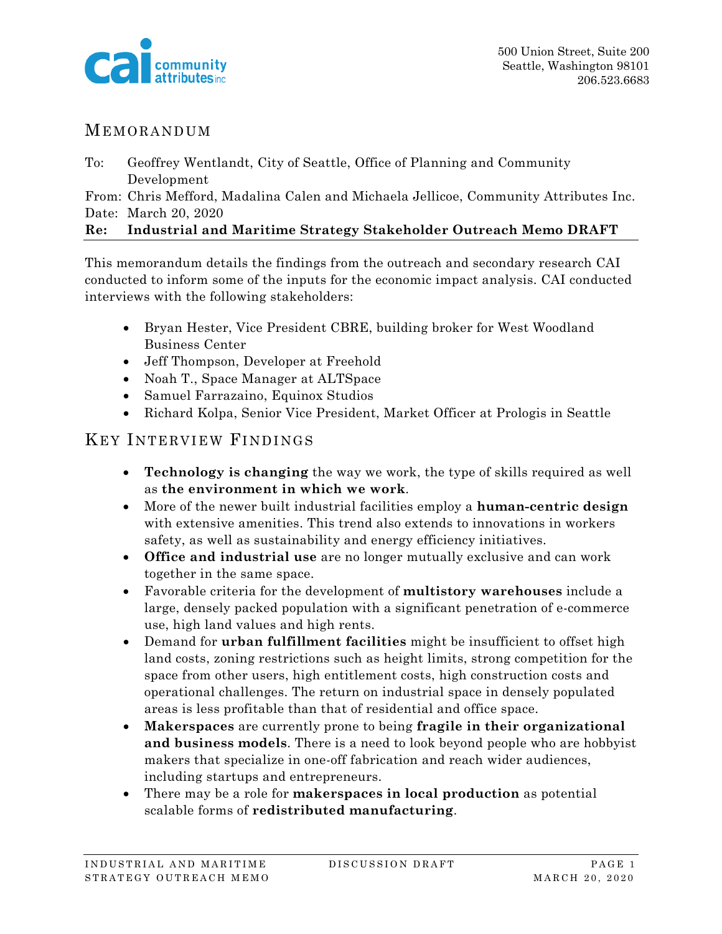

#### MEMORANDUM

To: Geoffrey Wentlandt, City of Seattle, Office of Planning and Community Development

From: Chris Mefford, Madalina Calen and Michaela Jellicoe, Community Attributes Inc. Date: March 20, 2020

#### **Re: Industrial and Maritime Strategy Stakeholder Outreach Memo DRAFT**

This memorandum details the findings from the outreach and secondary research CAI conducted to inform some of the inputs for the economic impact analysis. CAI conducted interviews with the following stakeholders:

- Bryan Hester, Vice President CBRE, building broker for West Woodland Business Center
- Jeff Thompson, Developer at Freehold
- Noah T., Space Manager at ALTSpace
- Samuel Farrazaino, Equinox Studios
- Richard Kolpa, Senior Vice President, Market Officer at Prologis in Seattle

#### KEY INTERVIEW FINDINGS

- **Technology is changing** the way we work, the type of skills required as well as **the environment in which we work**.
- More of the newer built industrial facilities employ a **human-centric design** with extensive amenities. This trend also extends to innovations in workers safety, as well as sustainability and energy efficiency initiatives.
- **Office and industrial use** are no longer mutually exclusive and can work together in the same space.
- Favorable criteria for the development of **multistory warehouses** include a large, densely packed population with a significant penetration of e-commerce use, high land values and high rents.
- Demand for **urban fulfillment facilities** might be insufficient to offset high land costs, zoning restrictions such as height limits, strong competition for the space from other users, high entitlement costs, high construction costs and operational challenges. The return on industrial space in densely populated areas is less profitable than that of residential and office space.
- **Makerspaces** are currently prone to being **fragile in their organizational and business models**. There is a need to look beyond people who are hobbyist makers that specialize in one-off fabrication and reach wider audiences, including startups and entrepreneurs.
- There may be a role for **makerspaces in local production** as potential scalable forms of **redistributed manufacturing**.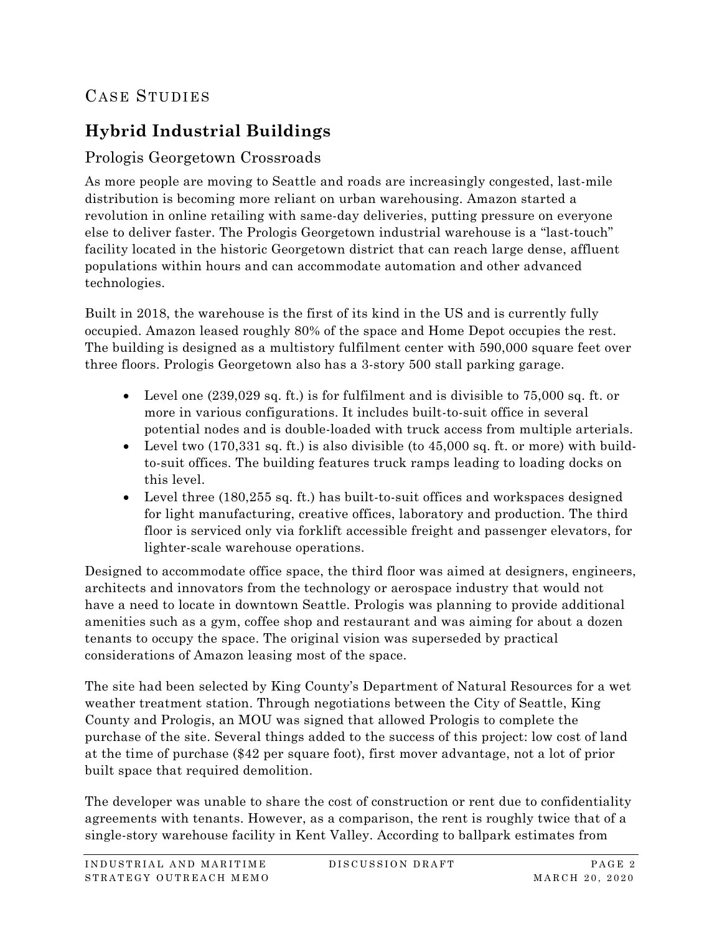# CASE STUDIES

# **Hybrid Industrial Buildings**

### Prologis Georgetown Crossroads

As more people are moving to Seattle and roads are increasingly congested, last-mile distribution is becoming more reliant on urban warehousing. Amazon started a revolution in online retailing with same-day deliveries, putting pressure on everyone else to deliver faster. The Prologis Georgetown industrial warehouse is a "last-touch" facility located in the historic Georgetown district that can reach large dense, affluent populations within hours and can accommodate automation and other advanced technologies.

Built in 2018, the warehouse is the first of its kind in the US and is currently fully occupied. Amazon leased roughly 80% of the space and Home Depot occupies the rest. The building is designed as a multistory fulfilment center with 590,000 square feet over three floors. Prologis Georgetown also has a 3-story 500 stall parking garage.

- Level one (239,029 sq. ft.) is for fulfilment and is divisible to 75,000 sq. ft. or more in various configurations. It includes built-to-suit office in several potential nodes and is double-loaded with truck access from multiple arterials.
- Level two (170,331 sq. ft.) is also divisible (to 45,000 sq. ft. or more) with buildto-suit offices. The building features truck ramps leading to loading docks on this level.
- Level three (180,255 sq. ft.) has built-to-suit offices and workspaces designed for light manufacturing, creative offices, laboratory and production. The third floor is serviced only via forklift accessible freight and passenger elevators, for lighter-scale warehouse operations.

Designed to accommodate office space, the third floor was aimed at designers, engineers, architects and innovators from the technology or aerospace industry that would not have a need to locate in downtown Seattle. Prologis was planning to provide additional amenities such as a gym, coffee shop and restaurant and was aiming for about a dozen tenants to occupy the space. The original vision was superseded by practical considerations of Amazon leasing most of the space.

The site had been selected by King County's Department of Natural Resources for a wet weather treatment station. Through negotiations between the City of Seattle, King County and Prologis, an MOU was signed that allowed Prologis to complete the purchase of the site. Several things added to the success of this project: low cost of land at the time of purchase (\$42 per square foot), first mover advantage, not a lot of prior built space that required demolition.

The developer was unable to share the cost of construction or rent due to confidentiality agreements with tenants. However, as a comparison, the rent is roughly twice that of a single-story warehouse facility in Kent Valley. According to ballpark estimates from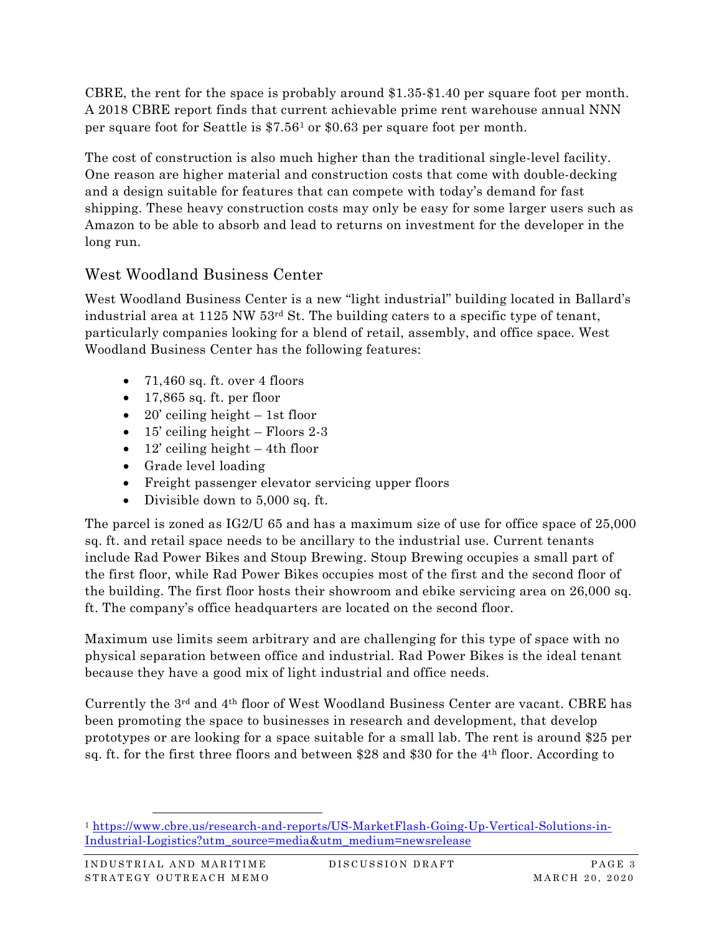CBRE, the rent for the space is probably around \$1.35-\$1.40 per square foot per month. A 2018 CBRE report finds that current achievable prime rent warehouse annual NNN per square foot for Seattle is \$7.56[1](#page-2-0) or \$0.63 per square foot per month.

The cost of construction is also much higher than the traditional single-level facility. One reason are higher material and construction costs that come with double-decking and a design suitable for features that can compete with today's demand for fast shipping. These heavy construction costs may only be easy for some larger users such as Amazon to be able to absorb and lead to returns on investment for the developer in the long run.

### West Woodland Business Center

West Woodland Business Center is a new "light industrial" building located in Ballard's industrial area at 1125 NW 53rd St. The building caters to a specific type of tenant, particularly companies looking for a blend of retail, assembly, and office space. West Woodland Business Center has the following features:

- $71,460$  sq. ft. over 4 floors
- $\bullet$  17,865 sq. ft. per floor
- 20' ceiling height  $-1$ st floor
- 15' ceiling height Floors 2-3
- 12' ceiling height  $-4$ th floor
- Grade level loading
- Freight passenger elevator servicing upper floors
- Divisible down to 5,000 sq. ft.

The parcel is zoned as IG2/U 65 and has a maximum size of use for office space of 25,000 sq. ft. and retail space needs to be ancillary to the industrial use. Current tenants include Rad Power Bikes and Stoup Brewing. Stoup Brewing occupies a small part of the first floor, while Rad Power Bikes occupies most of the first and the second floor of the building. The first floor hosts their showroom and ebike servicing area on 26,000 sq. ft. The company's office headquarters are located on the second floor.

Maximum use limits seem arbitrary and are challenging for this type of space with no physical separation between office and industrial. Rad Power Bikes is the ideal tenant because they have a good mix of light industrial and office needs.

Currently the 3rd and 4th floor of West Woodland Business Center are vacant. CBRE has been promoting the space to businesses in research and development, that develop prototypes or are looking for a space suitable for a small lab. The rent is around \$25 per sq. ft. for the first three floors and between \$28 and \$30 for the 4th floor. According to

<span id="page-2-0"></span><sup>1</sup> [https://www.cbre.us/research-and-reports/US-MarketFlash-Going-Up-Vertical-Solutions-in-](https://www.cbre.us/research-and-reports/US-MarketFlash-Going-Up-Vertical-Solutions-in-Industrial-Logistics?utm_source=media&utm_medium=newsrelease)[Industrial-Logistics?utm\\_source=media&utm\\_medium=newsrelease](https://www.cbre.us/research-and-reports/US-MarketFlash-Going-Up-Vertical-Solutions-in-Industrial-Logistics?utm_source=media&utm_medium=newsrelease)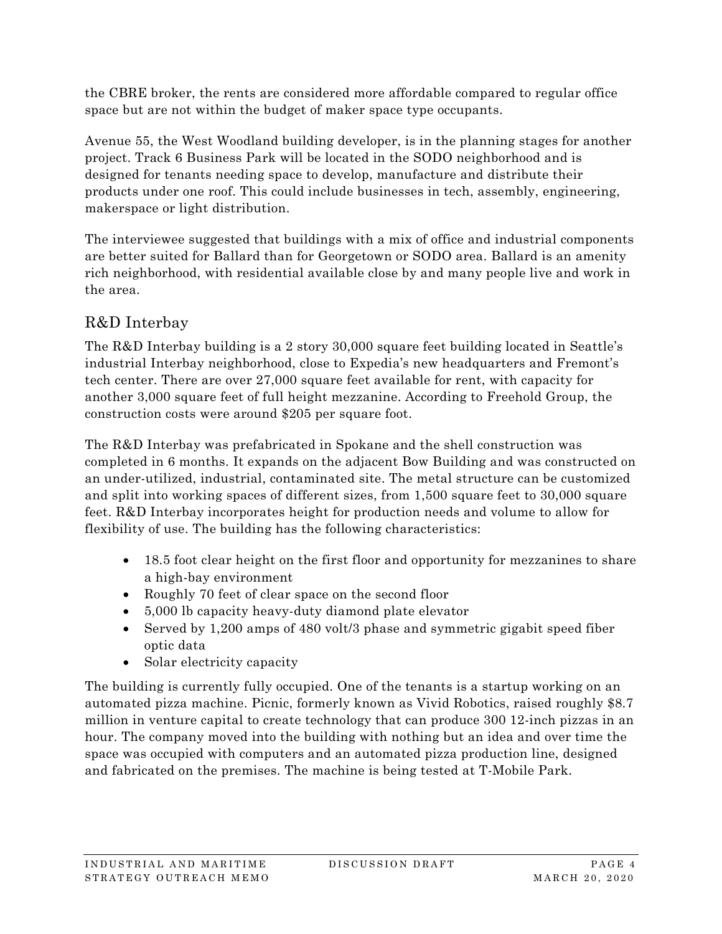the CBRE broker, the rents are considered more affordable compared to regular office space but are not within the budget of maker space type occupants.

Avenue 55, the West Woodland building developer, is in the planning stages for another project. Track 6 Business Park will be located in the SODO neighborhood and is designed for tenants needing space to develop, manufacture and distribute their products under one roof. This could include businesses in tech, assembly, engineering, makerspace or light distribution.

The interviewee suggested that buildings with a mix of office and industrial components are better suited for Ballard than for Georgetown or SODO area. Ballard is an amenity rich neighborhood, with residential available close by and many people live and work in the area.

## R&D Interbay

The R&D Interbay building is a 2 story 30,000 square feet building located in Seattle's industrial Interbay neighborhood, close to Expedia's new headquarters and Fremont's tech center. There are over 27,000 square feet available for rent, with capacity for another 3,000 square feet of full height mezzanine. According to Freehold Group, the construction costs were around \$205 per square foot.

The R&D Interbay was prefabricated in Spokane and the shell construction was completed in 6 months. It expands on the adjacent Bow Building and was constructed on an under-utilized, industrial, contaminated site. The metal structure can be customized and split into working spaces of different sizes, from 1,500 square feet to 30,000 square feet. R&D Interbay incorporates height for production needs and volume to allow for flexibility of use. The building has the following characteristics:

- 18.5 foot clear height on the first floor and opportunity for mezzanines to share a high-bay environment
- Roughly 70 feet of clear space on the second floor
- 5,000 lb capacity heavy-duty diamond plate elevator
- Served by 1,200 amps of 480 volt/3 phase and symmetric gigabit speed fiber optic data
- Solar electricity capacity

The building is currently fully occupied. One of the tenants is a startup working on an automated pizza machine. Picnic, formerly known as Vivid Robotics, raised roughly \$8.7 million in venture capital to create technology that can produce 300 12-inch pizzas in an hour. The company moved into the building with nothing but an idea and over time the space was occupied with computers and an automated pizza production line, designed and fabricated on the premises. The machine is being tested at T-Mobile Park.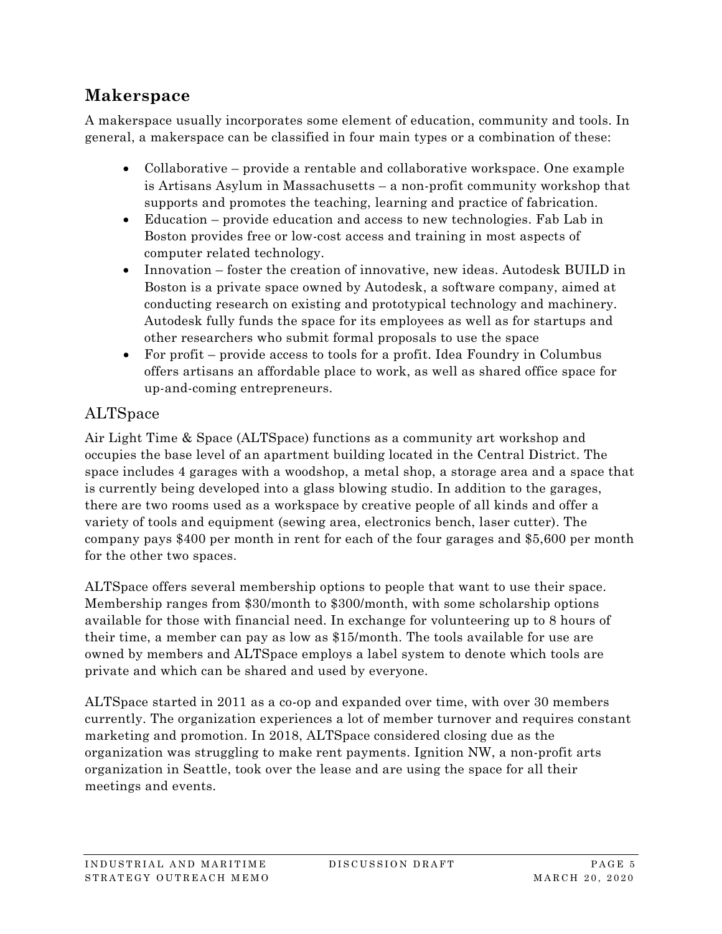# **Makerspace**

A makerspace usually incorporates some element of education, community and tools. In general, a makerspace can be classified in four main types or a combination of these:

- Collaborative provide a rentable and collaborative workspace. One example is Artisans Asylum in Massachusetts – a non-profit community workshop that supports and promotes the teaching, learning and practice of fabrication.
- Education provide education and access to new technologies. Fab Lab in Boston provides free or low-cost access and training in most aspects of computer related technology.
- Innovation foster the creation of innovative, new ideas. Autodesk BUILD in Boston is a private space owned by Autodesk, a software company, aimed at conducting research on existing and prototypical technology and machinery. Autodesk fully funds the space for its employees as well as for startups and other researchers who submit formal proposals to use the space
- For profit provide access to tools for a profit. Idea Foundry in Columbus offers artisans an affordable place to work, as well as shared office space for up-and-coming entrepreneurs.

## ALTSpace

Air Light Time & Space (ALTSpace) functions as a community art workshop and occupies the base level of an apartment building located in the Central District. The space includes 4 garages with a woodshop, a metal shop, a storage area and a space that is currently being developed into a glass blowing studio. In addition to the garages, there are two rooms used as a workspace by creative people of all kinds and offer a variety of tools and equipment (sewing area, electronics bench, laser cutter). The company pays \$400 per month in rent for each of the four garages and \$5,600 per month for the other two spaces.

ALTSpace offers several membership options to people that want to use their space. Membership ranges from \$30/month to \$300/month, with some scholarship options available for those with financial need. In exchange for volunteering up to 8 hours of their time, a member can pay as low as \$15/month. The tools available for use are owned by members and ALTSpace employs a label system to denote which tools are private and which can be shared and used by everyone.

ALTSpace started in 2011 as a co-op and expanded over time, with over 30 members currently. The organization experiences a lot of member turnover and requires constant marketing and promotion. In 2018, ALTSpace considered closing due as the organization was struggling to make rent payments. Ignition NW, a non-profit arts organization in Seattle, took over the lease and are using the space for all their meetings and events.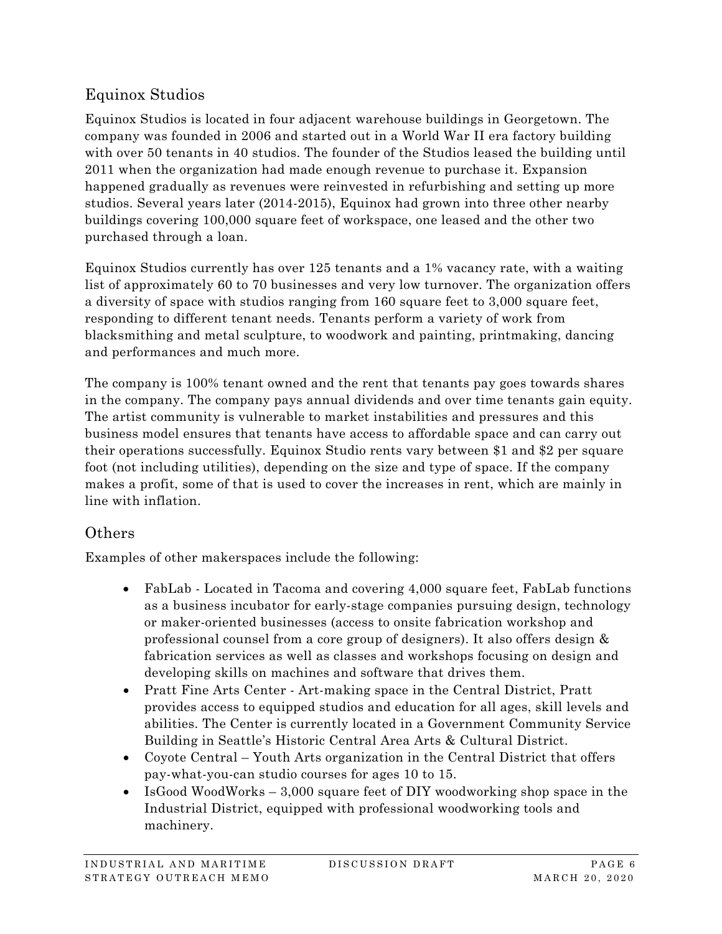### Equinox Studios

Equinox Studios is located in four adjacent warehouse buildings in Georgetown. The company was founded in 2006 and started out in a World War II era factory building with over 50 tenants in 40 studios. The founder of the Studios leased the building until 2011 when the organization had made enough revenue to purchase it. Expansion happened gradually as revenues were reinvested in refurbishing and setting up more studios. Several years later (2014-2015), Equinox had grown into three other nearby buildings covering 100,000 square feet of workspace, one leased and the other two purchased through a loan.

Equinox Studios currently has over 125 tenants and a 1% vacancy rate, with a waiting list of approximately 60 to 70 businesses and very low turnover. The organization offers a diversity of space with studios ranging from 160 square feet to 3,000 square feet, responding to different tenant needs. Tenants perform a variety of work from blacksmithing and metal sculpture, to woodwork and painting, printmaking, dancing and performances and much more.

The company is 100% tenant owned and the rent that tenants pay goes towards shares in the company. The company pays annual dividends and over time tenants gain equity. The artist community is vulnerable to market instabilities and pressures and this business model ensures that tenants have access to affordable space and can carry out their operations successfully. Equinox Studio rents vary between \$1 and \$2 per square foot (not including utilities), depending on the size and type of space. If the company makes a profit, some of that is used to cover the increases in rent, which are mainly in line with inflation.

### **Others**

Examples of other makerspaces include the following:

- FabLab Located in Tacoma and covering 4,000 square feet, FabLab functions as a business incubator for early-stage companies pursuing design, technology or maker-oriented businesses (access to onsite fabrication workshop and professional counsel from a core group of designers). It also offers design & fabrication services as well as classes and workshops focusing on design and developing skills on machines and software that drives them.
- Pratt Fine Arts Center Art-making space in the Central District, Pratt provides access to equipped studios and education for all ages, skill levels and abilities. The Center is currently located in a Government Community Service Building in Seattle's Historic Central Area Arts & Cultural District.
- Coyote Central Youth Arts organization in the Central District that offers pay-what-you-can studio courses for ages 10 to 15.
- IsGood WoodWorks 3,000 square feet of DIY woodworking shop space in the Industrial District, equipped with professional woodworking tools and machinery.